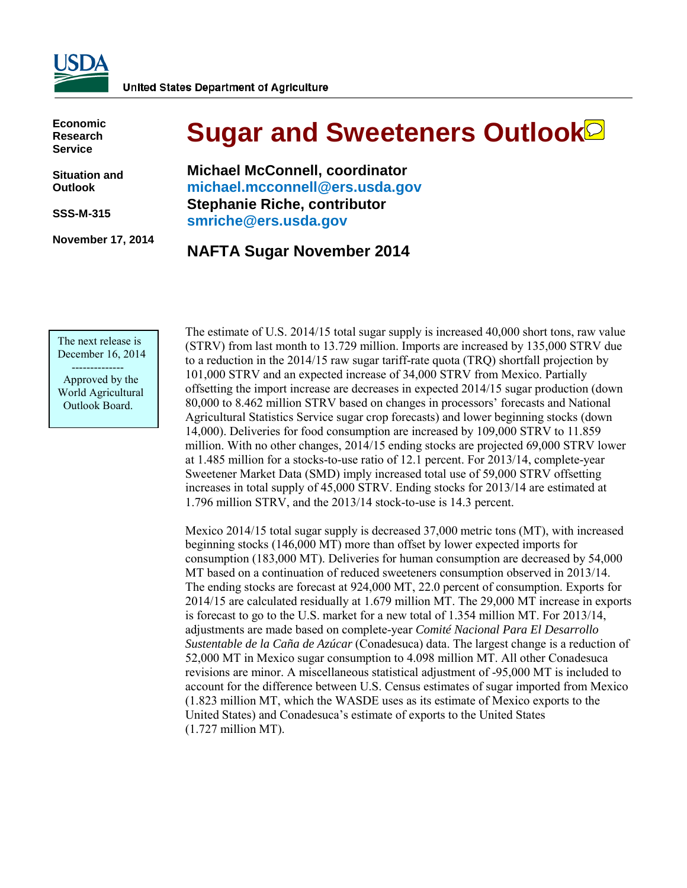

**Economic Research Service**

**Situation and Outlook**

**SSS-M-315**

**November 17, 2014** 

# **Sugar and Sweeteners Outlook**

**Michael McConnell, coordinator [michael.mcconnell@ers.usda.gov](mailto: michael.mcconnell@ers.usda.gov) Stephanie Riche, contributor [smriche@ers.usda.gov](mailto:smriche@ers.usda.gov)**

### **NAFTA Sugar November 2014**

The next release is December 16, 2014

 -------------- Approved by the World Agricultural Outlook Board.

The estimate of U.S. 2014/15 total sugar supply is increased 40,000 short tons, raw value (STRV) from last month to 13.729 million. Imports are increased by 135,000 STRV due to a reduction in the 2014/15 raw sugar tariff-rate quota (TRQ) shortfall projection by 101,000 STRV and an expected increase of 34,000 STRV from Mexico. Partially offsetting the import increase are decreases in expected 2014/15 sugar production (down 80,000 to 8.462 million STRV based on changes in processors' forecasts and National Agricultural Statistics Service sugar crop forecasts) and lower beginning stocks (down 14,000). Deliveries for food consumption are increased by 109,000 STRV to 11.859 million. With no other changes, 2014/15 ending stocks are projected 69,000 STRV lower at 1.485 million for a stocks-to-use ratio of 12.1 percent. For 2013/14, complete-year Sweetener Market Data (SMD) imply increased total use of 59,000 STRV offsetting increases in total supply of 45,000 STRV. Ending stocks for 2013/14 are estimated at 1.796 million STRV, and the 2013/14 stock-to-use is 14.3 percent.

Mexico 2014/15 total sugar supply is decreased 37,000 metric tons (MT), with increased beginning stocks (146,000 MT) more than offset by lower expected imports for consumption (183,000 MT). Deliveries for human consumption are decreased by 54,000 MT based on a continuation of reduced sweeteners consumption observed in 2013/14. The ending stocks are forecast at 924,000 MT, 22.0 percent of consumption. Exports for 2014/15 are calculated residually at 1.679 million MT. The 29,000 MT increase in exports is forecast to go to the U.S. market for a new total of 1.354 million MT. For 2013/14, adjustments are made based on complete-year *Comité Nacional Para El Desarrollo Sustentable de la Caña de Azúcar* (Conadesuca) data. The largest change is a reduction of 52,000 MT in Mexico sugar consumption to 4.098 million MT. All other Conadesuca revisions are minor. A miscellaneous statistical adjustment of -95,000 MT is included to account for the difference between U.S. Census estimates of sugar imported from Mexico (1.823 million MT, which the WASDE uses as its estimate of Mexico exports to the United States) and Conadesuca's estimate of exports to the United States (1.727 million MT).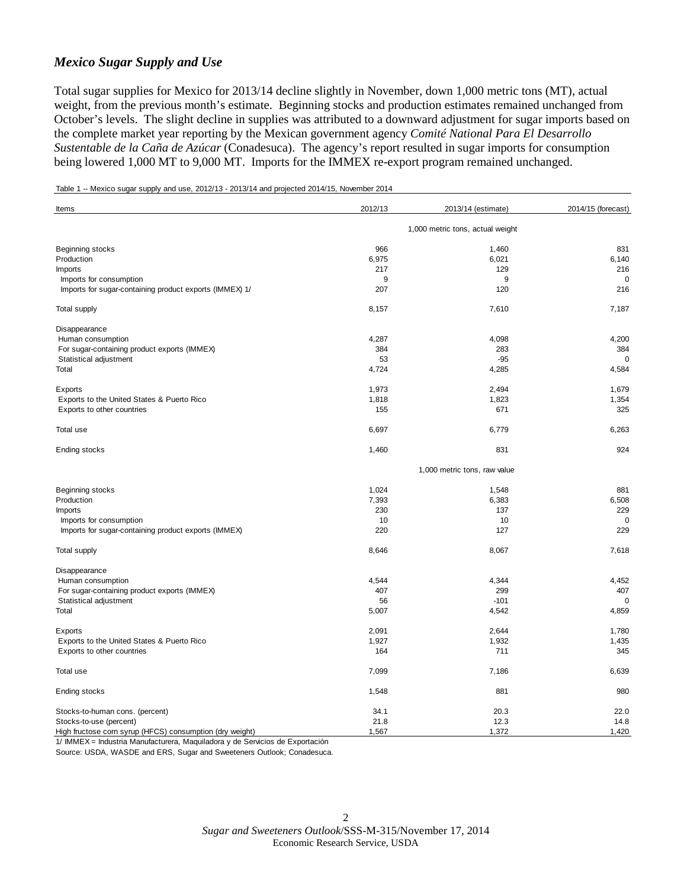#### *Mexico Sugar Supply and Use*

Total sugar supplies for Mexico for 2013/14 decline slightly in November, down 1,000 metric tons (MT), actual weight, from the previous month's estimate. Beginning stocks and production estimates remained unchanged from October's levels. The slight decline in supplies was attributed to a downward adjustment for sugar imports based on the complete market year reporting by the Mexican government agency *Comité National Para El Desarrollo Sustentable de la Caña de Azúcar* (Conadesuca). The agency's report resulted in sugar imports for consumption being lowered 1,000 MT to 9,000 MT. Imports for the IMMEX re-export program remained unchanged.

Table 1 -- Mexico sugar supply and use, 2012/13 - 2013/14 and projected 2014/15, November 2014

| Items                                                    | 2012/13                          | 2013/14 (estimate) | 2014/15 (forecast) |  |  |
|----------------------------------------------------------|----------------------------------|--------------------|--------------------|--|--|
|                                                          | 1,000 metric tons, actual weight |                    |                    |  |  |
| Beginning stocks                                         | 966                              | 1,460              | 831                |  |  |
| Production                                               | 6,975                            | 6,021              | 6,140              |  |  |
| <b>Imports</b>                                           | 217                              | 129                | 216                |  |  |
| Imports for consumption                                  | 9                                | 9                  | $\mathbf 0$        |  |  |
| Imports for sugar-containing product exports (IMMEX) 1/  | 207                              | 120                | 216                |  |  |
| <b>Total supply</b>                                      | 8,157                            | 7,610              | 7,187              |  |  |
| Disappearance                                            |                                  |                    |                    |  |  |
| Human consumption                                        | 4,287                            | 4,098              | 4,200              |  |  |
| For sugar-containing product exports (IMMEX)             | 384                              | 283                | 384                |  |  |
| Statistical adjustment                                   | 53                               | $-95$              | $\Omega$           |  |  |
| Total                                                    | 4,724                            | 4,285              | 4,584              |  |  |
| Exports                                                  | 1,973                            | 2,494              | 1,679              |  |  |
| Exports to the United States & Puerto Rico               | 1,818                            | 1,823              | 1,354              |  |  |
| Exports to other countries                               | 155                              | 671                | 325                |  |  |
| Total use                                                | 6,697                            | 6,779              | 6,263              |  |  |
| Ending stocks                                            | 1,460                            | 831                | 924                |  |  |
|                                                          | 1,000 metric tons, raw value     |                    |                    |  |  |
| Beginning stocks                                         | 1,024                            | 1,548              | 881                |  |  |
| Production                                               | 7,393                            | 6,383              | 6,508              |  |  |
|                                                          |                                  | 137                | 229                |  |  |
| <b>Imports</b>                                           | 230<br>10                        | 10                 |                    |  |  |
| Imports for consumption                                  |                                  |                    | 0                  |  |  |
| Imports for sugar-containing product exports (IMMEX)     | 220                              | 127                | 229                |  |  |
| Total supply                                             | 8,646                            | 8,067              | 7,618              |  |  |
| Disappearance                                            |                                  |                    |                    |  |  |
| Human consumption                                        | 4,544                            | 4,344              | 4,452              |  |  |
| For sugar-containing product exports (IMMEX)             | 407                              | 299                | 407                |  |  |
| Statistical adjustment                                   | 56                               | $-101$             | 0                  |  |  |
| Total                                                    | 5,007                            | 4,542              | 4,859              |  |  |
| Exports                                                  | 2,091                            | 2,644              | 1,780              |  |  |
| Exports to the United States & Puerto Rico               | 1,927                            | 1,932              | 1,435              |  |  |
| Exports to other countries                               | 164                              | 711                | 345                |  |  |
| Total use                                                | 7,099                            | 7,186              | 6,639              |  |  |
| Ending stocks                                            | 1,548                            | 881                | 980                |  |  |
| Stocks-to-human cons. (percent)                          | 34.1                             | 20.3               | 22.0               |  |  |
| Stocks-to-use (percent)                                  | 21.8                             | 12.3               | 14.8               |  |  |
| High fructose corn syrup (HFCS) consumption (dry weight) | 1,567                            | 1,372              | 1,420              |  |  |

1/ IMMEX = Industria Manufacturera, Maquiladora y de Servicios de Exportación

Source: USDA, WASDE and ERS, Sugar and Sweeteners Outlook; Conadesuca.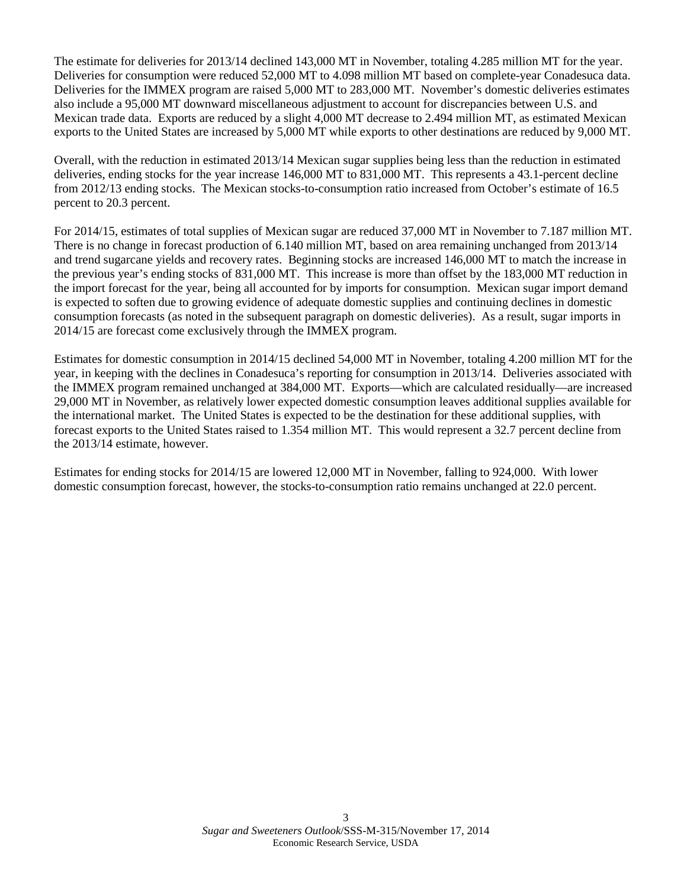The estimate for deliveries for 2013/14 declined 143,000 MT in November, totaling 4.285 million MT for the year. Deliveries for consumption were reduced 52,000 MT to 4.098 million MT based on complete-year Conadesuca data. Deliveries for the IMMEX program are raised 5,000 MT to 283,000 MT. November's domestic deliveries estimates also include a 95,000 MT downward miscellaneous adjustment to account for discrepancies between U.S. and Mexican trade data. Exports are reduced by a slight 4,000 MT decrease to 2.494 million MT, as estimated Mexican exports to the United States are increased by 5,000 MT while exports to other destinations are reduced by 9,000 MT.

Overall, with the reduction in estimated 2013/14 Mexican sugar supplies being less than the reduction in estimated deliveries, ending stocks for the year increase 146,000 MT to 831,000 MT. This represents a 43.1-percent decline from 2012/13 ending stocks. The Mexican stocks-to-consumption ratio increased from October's estimate of 16.5 percent to 20.3 percent.

For 2014/15, estimates of total supplies of Mexican sugar are reduced 37,000 MT in November to 7.187 million MT. There is no change in forecast production of 6.140 million MT, based on area remaining unchanged from 2013/14 and trend sugarcane yields and recovery rates. Beginning stocks are increased 146,000 MT to match the increase in the previous year's ending stocks of 831,000 MT. This increase is more than offset by the 183,000 MT reduction in the import forecast for the year, being all accounted for by imports for consumption. Mexican sugar import demand is expected to soften due to growing evidence of adequate domestic supplies and continuing declines in domestic consumption forecasts (as noted in the subsequent paragraph on domestic deliveries). As a result, sugar imports in 2014/15 are forecast come exclusively through the IMMEX program.

Estimates for domestic consumption in 2014/15 declined 54,000 MT in November, totaling 4.200 million MT for the year, in keeping with the declines in Conadesuca's reporting for consumption in 2013/14. Deliveries associated with the IMMEX program remained unchanged at 384,000 MT. Exports—which are calculated residually—are increased 29,000 MT in November, as relatively lower expected domestic consumption leaves additional supplies available for the international market. The United States is expected to be the destination for these additional supplies, with forecast exports to the United States raised to 1.354 million MT. This would represent a 32.7 percent decline from the 2013/14 estimate, however.

Estimates for ending stocks for 2014/15 are lowered 12,000 MT in November, falling to 924,000. With lower domestic consumption forecast, however, the stocks-to-consumption ratio remains unchanged at 22.0 percent.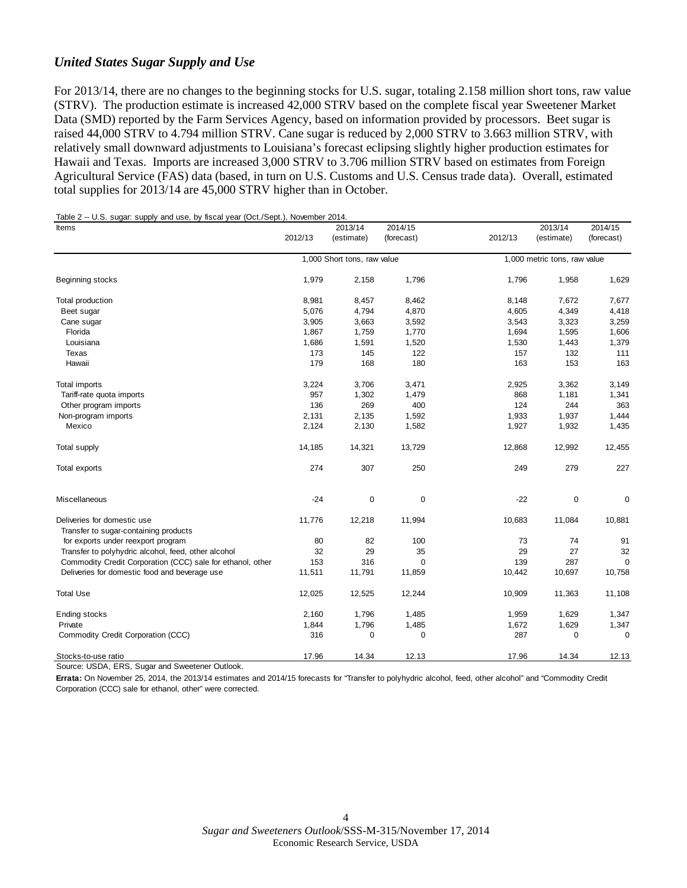#### *United States Sugar Supply and Use*

For 2013/14, there are no changes to the beginning stocks for U.S. sugar, totaling 2.158 million short tons, raw value (STRV). The production estimate is increased 42,000 STRV based on the complete fiscal year Sweetener Market Data (SMD) reported by the Farm Services Agency, based on information provided by processors. Beet sugar is raised 44,000 STRV to 4.794 million STRV. Cane sugar is reduced by 2,000 STRV to 3.663 million STRV, with relatively small downward adjustments to Louisiana's forecast eclipsing slightly higher production estimates for Hawaii and Texas. Imports are increased 3,000 STRV to 3.706 million STRV based on estimates from Foreign Agricultural Service (FAS) data (based, in turn on U.S. Customs and U.S. Census trade data). Overall, estimated total supplies for 2013/14 are 45,000 STRV higher than in October.

|  |  | Table 2 -- U.S. sugar: supply and use, by fiscal year (Oct./Sept.), November 2014. |
|--|--|------------------------------------------------------------------------------------|
|  |  |                                                                                    |

| Items                                                                | 2012/13 | 2013/14<br>(estimate)       | 2014/15<br>(forecast) | 2012/13 | 2013/14<br>(estimate)        | 2014/15<br>(forecast) |  |
|----------------------------------------------------------------------|---------|-----------------------------|-----------------------|---------|------------------------------|-----------------------|--|
|                                                                      |         |                             |                       |         |                              |                       |  |
|                                                                      |         | 1,000 Short tons, raw value |                       |         | 1,000 metric tons, raw value |                       |  |
| Beginning stocks                                                     | 1,979   | 2,158                       | 1,796                 | 1,796   | 1,958                        | 1,629                 |  |
| Total production                                                     | 8,981   | 8,457                       | 8,462                 | 8,148   | 7,672                        | 7,677                 |  |
| Beet sugar                                                           | 5,076   | 4,794                       | 4,870                 | 4,605   | 4,349                        | 4,418                 |  |
| Cane sugar                                                           | 3,905   | 3,663                       | 3,592                 | 3,543   | 3,323                        | 3,259                 |  |
| Florida                                                              | 1,867   | 1,759                       | 1,770                 | 1,694   | 1,595                        | 1,606                 |  |
| Louisiana                                                            | 1,686   | 1,591                       | 1,520                 | 1,530   | 1,443                        | 1,379                 |  |
| Texas                                                                | 173     | 145                         | 122                   | 157     | 132                          | 111                   |  |
| Hawaii                                                               | 179     | 168                         | 180                   | 163     | 153                          | 163                   |  |
| <b>Total imports</b>                                                 | 3,224   | 3,706                       | 3,471                 | 2,925   | 3,362                        | 3,149                 |  |
| Tariff-rate quota imports                                            | 957     | 1,302                       | 1,479                 | 868     | 1,181                        | 1,341                 |  |
| Other program imports                                                | 136     | 269                         | 400                   | 124     | 244                          | 363                   |  |
| Non-program imports                                                  | 2,131   | 2,135                       | 1,592                 | 1,933   | 1,937                        | 1,444                 |  |
| Mexico                                                               | 2,124   | 2,130                       | 1,582                 | 1,927   | 1,932                        | 1,435                 |  |
| Total supply                                                         | 14,185  | 14,321                      | 13,729                | 12,868  | 12,992                       | 12,455                |  |
| Total exports                                                        | 274     | 307                         | 250                   | 249     | 279                          | 227                   |  |
| Miscellaneous                                                        | $-24$   | 0                           | $\pmb{0}$             | $-22$   | $\pmb{0}$                    | 0                     |  |
| Deliveries for domestic use<br>Transfer to sugar-containing products | 11,776  | 12,218                      | 11,994                | 10,683  | 11,084                       | 10,881                |  |
| for exports under reexport program                                   | 80      | 82                          | 100                   | 73      | 74                           | 91                    |  |
| Transfer to polyhydric alcohol, feed, other alcohol                  | 32      | 29                          | 35                    | 29      | 27                           | 32                    |  |
| Commodity Credit Corporation (CCC) sale for ethanol, other           | 153     | 316                         | $\Omega$              | 139     | 287                          | $\Omega$              |  |
| Deliveries for domestic food and beverage use                        | 11,511  | 11,791                      | 11,859                | 10,442  | 10,697                       | 10,758                |  |
| <b>Total Use</b>                                                     | 12,025  | 12,525                      | 12,244                | 10,909  | 11,363                       | 11,108                |  |
| Ending stocks                                                        | 2,160   | 1,796                       | 1,485                 | 1,959   | 1,629                        | 1,347                 |  |
| Private                                                              | 1,844   | 1,796                       | 1,485                 | 1,672   | 1,629                        | 1,347                 |  |
| Commodity Credit Corporation (CCC)                                   | 316     | 0                           | $\mathbf 0$           | 287     | $\mathbf 0$                  | 0                     |  |
| Stocks-to-use ratio                                                  | 17.96   | 14.34                       | 12.13                 | 17.96   | 14.34                        | 12.13                 |  |

Source: USDA, ERS, Sugar and Sweetener Outlook.

**Errata:** On November 25, 2014, the 2013/14 estimates and 2014/15 forecasts for "Transfer to polyhydric alcohol, feed, other alcohol" and "Commodity Credit Corporation (CCC) sale for ethanol, other" were corrected.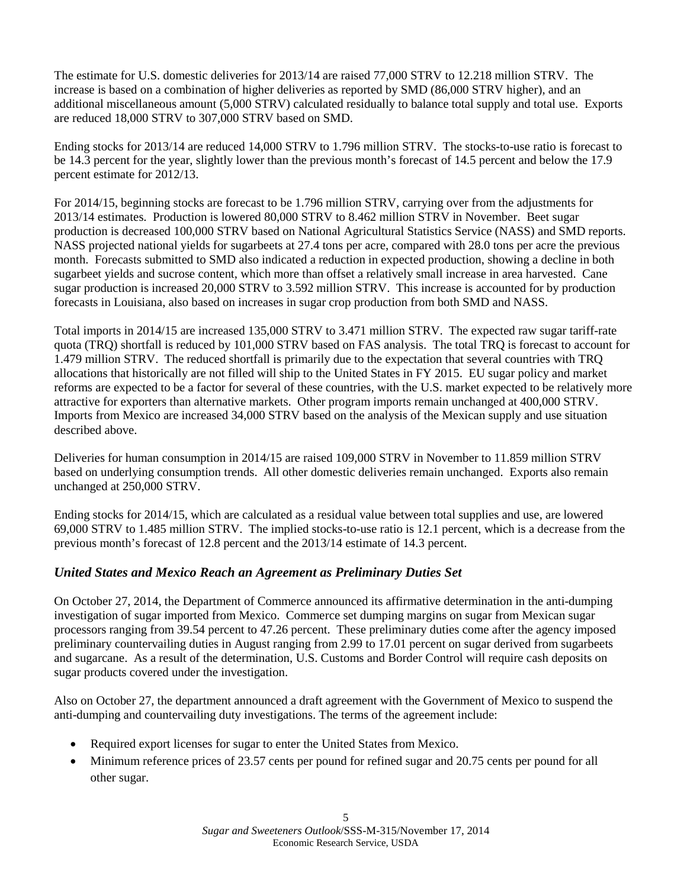The estimate for U.S. domestic deliveries for 2013/14 are raised 77,000 STRV to 12.218 million STRV. The increase is based on a combination of higher deliveries as reported by SMD (86,000 STRV higher), and an additional miscellaneous amount (5,000 STRV) calculated residually to balance total supply and total use. Exports are reduced 18,000 STRV to 307,000 STRV based on SMD.

Ending stocks for 2013/14 are reduced 14,000 STRV to 1.796 million STRV. The stocks-to-use ratio is forecast to be 14.3 percent for the year, slightly lower than the previous month's forecast of 14.5 percent and below the 17.9 percent estimate for 2012/13.

For 2014/15, beginning stocks are forecast to be 1.796 million STRV, carrying over from the adjustments for 2013/14 estimates. Production is lowered 80,000 STRV to 8.462 million STRV in November. Beet sugar production is decreased 100,000 STRV based on National Agricultural Statistics Service (NASS) and SMD reports. NASS projected national yields for sugarbeets at 27.4 tons per acre, compared with 28.0 tons per acre the previous month. Forecasts submitted to SMD also indicated a reduction in expected production, showing a decline in both sugarbeet yields and sucrose content, which more than offset a relatively small increase in area harvested. Cane sugar production is increased 20,000 STRV to 3.592 million STRV. This increase is accounted for by production forecasts in Louisiana, also based on increases in sugar crop production from both SMD and NASS.

Total imports in 2014/15 are increased 135,000 STRV to 3.471 million STRV. The expected raw sugar tariff-rate quota (TRQ) shortfall is reduced by 101,000 STRV based on FAS analysis. The total TRQ is forecast to account for 1.479 million STRV. The reduced shortfall is primarily due to the expectation that several countries with TRQ allocations that historically are not filled will ship to the United States in FY 2015. EU sugar policy and market reforms are expected to be a factor for several of these countries, with the U.S. market expected to be relatively more attractive for exporters than alternative markets. Other program imports remain unchanged at 400,000 STRV. Imports from Mexico are increased 34,000 STRV based on the analysis of the Mexican supply and use situation described above.

Deliveries for human consumption in 2014/15 are raised 109,000 STRV in November to 11.859 million STRV based on underlying consumption trends. All other domestic deliveries remain unchanged. Exports also remain unchanged at 250,000 STRV.

Ending stocks for 2014/15, which are calculated as a residual value between total supplies and use, are lowered 69,000 STRV to 1.485 million STRV. The implied stocks-to-use ratio is 12.1 percent, which is a decrease from the previous month's forecast of 12.8 percent and the 2013/14 estimate of 14.3 percent.

#### *United States and Mexico Reach an Agreement as Preliminary Duties Set*

On October 27, 2014, the Department of Commerce announced its affirmative determination in the anti-dumping investigation of sugar imported from Mexico. Commerce set dumping margins on sugar from Mexican sugar processors ranging from 39.54 percent to 47.26 percent. These preliminary duties come after the agency imposed preliminary countervailing duties in August ranging from 2.99 to 17.01 percent on sugar derived from sugarbeets and sugarcane. As a result of the determination, U.S. Customs and Border Control will require cash deposits on sugar products covered under the investigation.

Also on October 27, the department announced a draft agreement with the Government of Mexico to suspend the anti-dumping and countervailing duty investigations. The terms of the agreement include:

- Required export licenses for sugar to enter the United States from Mexico.
- Minimum reference prices of 23.57 cents per pound for refined sugar and 20.75 cents per pound for all other sugar.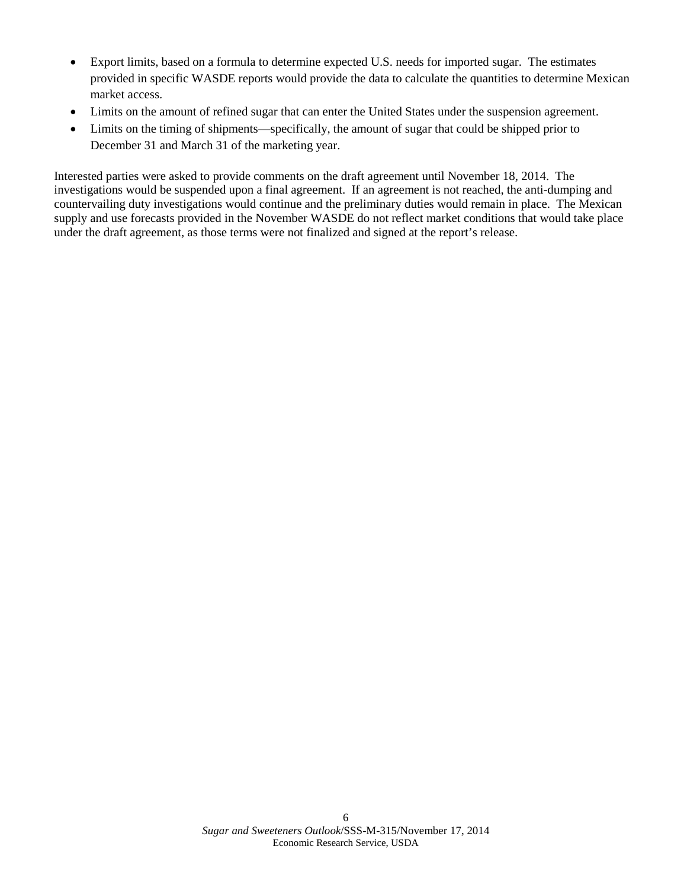- Export limits, based on a formula to determine expected U.S. needs for imported sugar. The estimates provided in specific WASDE reports would provide the data to calculate the quantities to determine Mexican market access.
- Limits on the amount of refined sugar that can enter the United States under the suspension agreement.
- Limits on the timing of shipments—specifically, the amount of sugar that could be shipped prior to December 31 and March 31 of the marketing year.

Interested parties were asked to provide comments on the draft agreement until November 18, 2014. The investigations would be suspended upon a final agreement. If an agreement is not reached, the anti-dumping and countervailing duty investigations would continue and the preliminary duties would remain in place. The Mexican supply and use forecasts provided in the November WASDE do not reflect market conditions that would take place under the draft agreement, as those terms were not finalized and signed at the report's release.